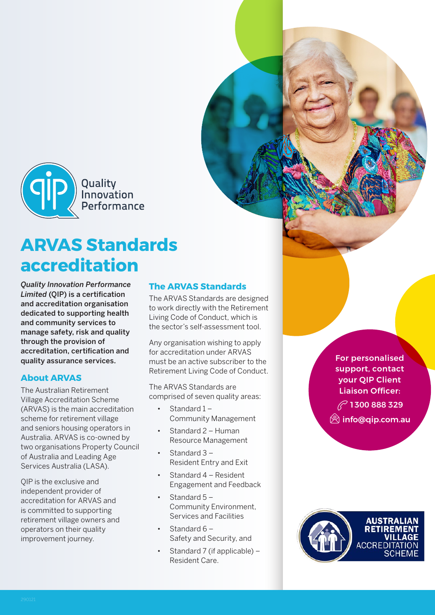

# **ARVAS Standards accreditation**

*Quality Innovation Performance Limited* (QIP) is a certification and accreditation organisation dedicated to supporting health and community services to manage safety, risk and quality through the provision of accreditation, certification and quality assurance services.

### **About ARVAS**

The Australian Retirement Village Accreditation Scheme (ARVAS) is the main accreditation scheme for retirement village and seniors housing operators in Australia. ARVAS is co-owned by two organisations Property Council of Australia and Leading Age Services Australia (LASA).

QIP is the exclusive and independent provider of accreditation for ARVAS and is committed to supporting retirement village owners and operators on their quality improvement journey.

### **The ARVAS Standards**

The ARVAS Standards are designed to work directly with the Retirement Living Code of Conduct, which is the sector's self-assessment tool.

Any organisation wishing to apply for accreditation under ARVAS must be an active subscriber to the Retirement Living Code of Conduct.

The ARVAS Standards are comprised of seven quality areas:

- Standard  $1 -$ Community Management
- Standard 2 Human Resource Management
- Standard 3 Resident Entry and Exit
- Standard 4 Resident Engagement and Feedback
- Standard 5 Community Environment, Services and Facilities
- Standard 6 Safety and Security, and
- Standard 7 (if applicable) Resident Care.

For personalised support, contact your QIP Client Liaison Officer:  $\mathbb{C}$  1300 888 329 **S**info@qip.com.au